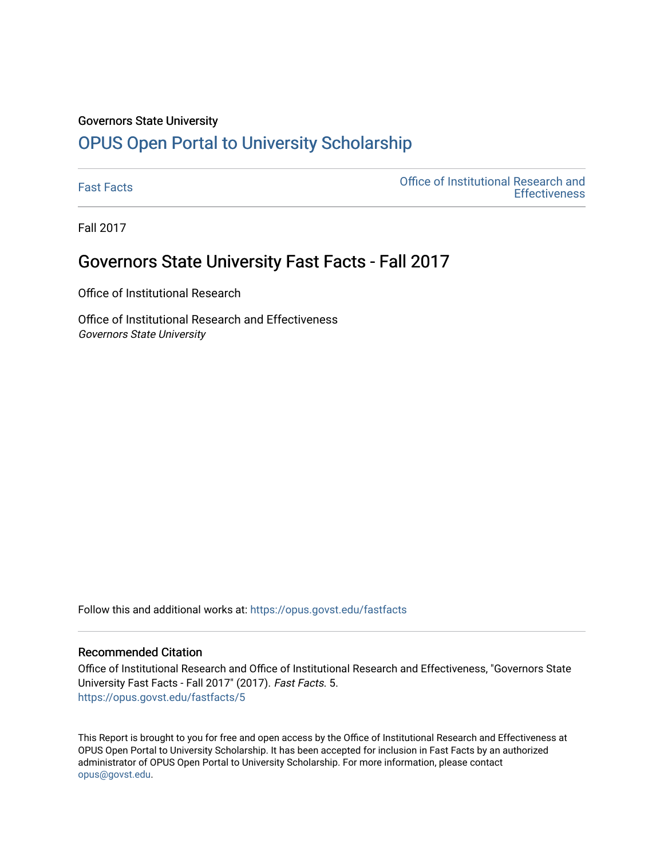#### Governors State University

# [OPUS Open Portal to University Scholarship](https://opus.govst.edu/)

[Fast Facts](https://opus.govst.edu/fastfacts) [Office of Institutional Research and](https://opus.govst.edu/ir)  **Effectiveness** 

Fall 2017

### Governors State University Fast Facts - Fall 2017

Office of Institutional Research

Office of Institutional Research and Effectiveness Governors State University

Follow this and additional works at: [https://opus.govst.edu/fastfacts](https://opus.govst.edu/fastfacts?utm_source=opus.govst.edu%2Ffastfacts%2F5&utm_medium=PDF&utm_campaign=PDFCoverPages)

### Recommended Citation

Office of Institutional Research and Office of Institutional Research and Effectiveness, "Governors State University Fast Facts - Fall 2017" (2017). Fast Facts. 5. [https://opus.govst.edu/fastfacts/5](https://opus.govst.edu/fastfacts/5?utm_source=opus.govst.edu%2Ffastfacts%2F5&utm_medium=PDF&utm_campaign=PDFCoverPages)

This Report is brought to you for free and open access by the Office of Institutional Research and Effectiveness at OPUS Open Portal to University Scholarship. It has been accepted for inclusion in Fast Facts by an authorized administrator of OPUS Open Portal to University Scholarship. For more information, please contact [opus@govst.edu](mailto:opus@govst.edu).